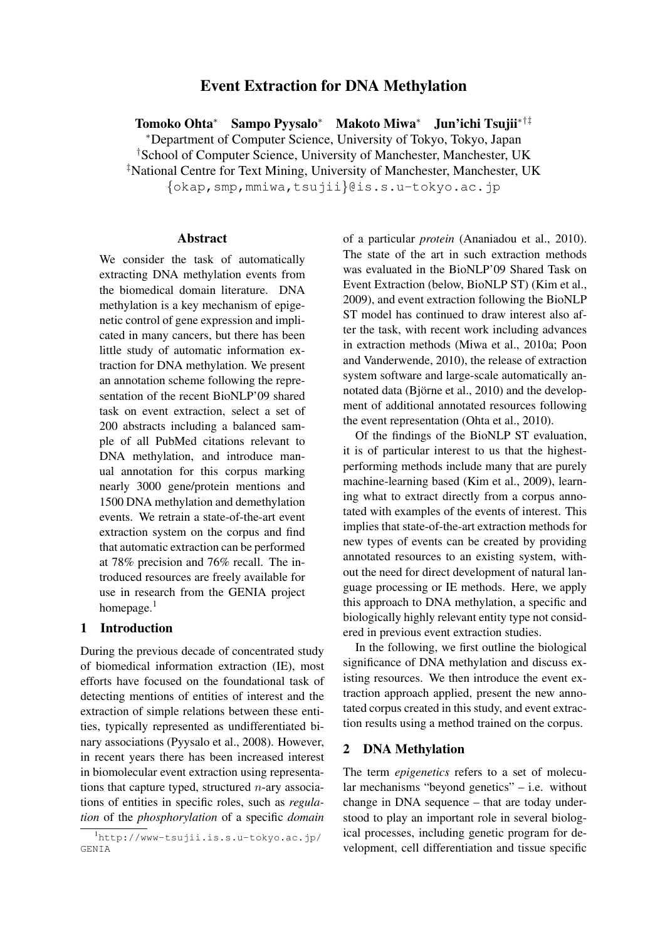# Event Extraction for DNA Methylation

Tomoko Ohta<sup>∗</sup> Sampo Pyysalo<sup>∗</sup> Makoto Miwa<sup>∗</sup> Jun'ichi Tsujii∗†‡ <sup>∗</sup>Department of Computer Science, University of Tokyo, Tokyo, Japan †School of Computer Science, University of Manchester, Manchester, UK ‡National Centre for Text Mining, University of Manchester, Manchester, UK {okap,smp,mmiwa,tsujii}@is.s.u-tokyo.ac.jp

### Abstract

We consider the task of automatically extracting DNA methylation events from the biomedical domain literature. DNA methylation is a key mechanism of epigenetic control of gene expression and implicated in many cancers, but there has been little study of automatic information extraction for DNA methylation. We present an annotation scheme following the representation of the recent BioNLP'09 shared task on event extraction, select a set of 200 abstracts including a balanced sample of all PubMed citations relevant to DNA methylation, and introduce manual annotation for this corpus marking nearly 3000 gene/protein mentions and 1500 DNA methylation and demethylation events. We retrain a state-of-the-art event extraction system on the corpus and find that automatic extraction can be performed at 78% precision and 76% recall. The introduced resources are freely available for use in research from the GENIA project homepage.<sup>1</sup>

## 1 Introduction

During the previous decade of concentrated study of biomedical information extraction (IE), most efforts have focused on the foundational task of detecting mentions of entities of interest and the extraction of simple relations between these entities, typically represented as undifferentiated binary associations (Pyysalo et al., 2008). However, in recent years there has been increased interest in biomolecular event extraction using representations that capture typed, structured  $n$ -ary associations of entities in specific roles, such as *regulation* of the *phosphorylation* of a specific *domain* of a particular *protein* (Ananiadou et al., 2010). The state of the art in such extraction methods was evaluated in the BioNLP'09 Shared Task on Event Extraction (below, BioNLP ST) (Kim et al., 2009), and event extraction following the BioNLP ST model has continued to draw interest also after the task, with recent work including advances in extraction methods (Miwa et al., 2010a; Poon and Vanderwende, 2010), the release of extraction system software and large-scale automatically annotated data (Björne et al.,  $2010$ ) and the development of additional annotated resources following the event representation (Ohta et al., 2010).

Of the findings of the BioNLP ST evaluation, it is of particular interest to us that the highestperforming methods include many that are purely machine-learning based (Kim et al., 2009), learning what to extract directly from a corpus annotated with examples of the events of interest. This implies that state-of-the-art extraction methods for new types of events can be created by providing annotated resources to an existing system, without the need for direct development of natural language processing or IE methods. Here, we apply this approach to DNA methylation, a specific and biologically highly relevant entity type not considered in previous event extraction studies.

In the following, we first outline the biological significance of DNA methylation and discuss existing resources. We then introduce the event extraction approach applied, present the new annotated corpus created in this study, and event extraction results using a method trained on the corpus.

### 2 DNA Methylation

The term *epigenetics* refers to a set of molecular mechanisms "beyond genetics" – i.e. without change in DNA sequence – that are today understood to play an important role in several biological processes, including genetic program for development, cell differentiation and tissue specific

 $\overline{\hbox{l}}$ http://www-tsujii.is.s.u-tokyo.ac.jp/ GENIA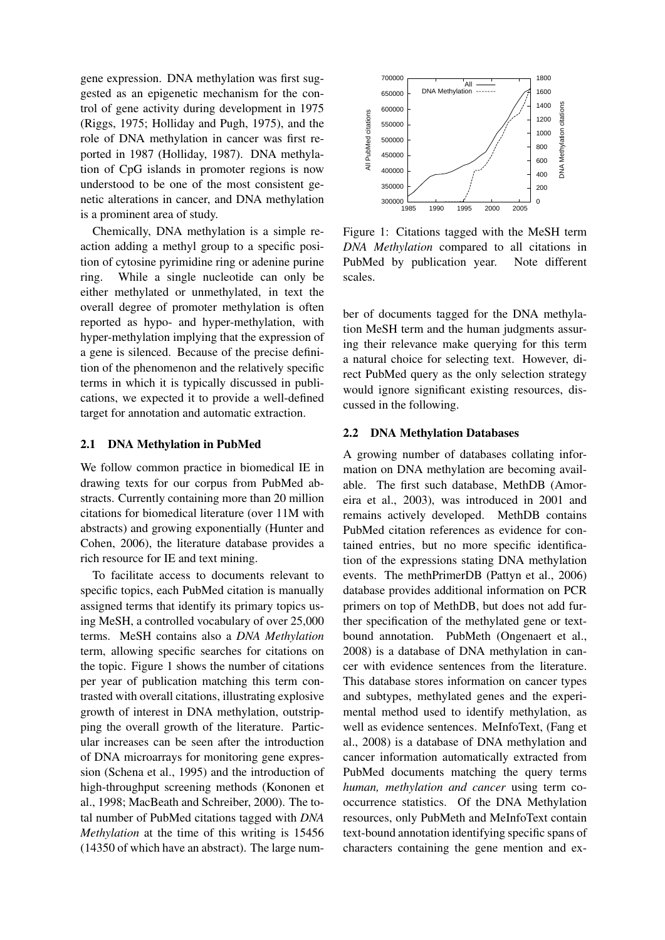gene expression. DNA methylation was first suggested as an epigenetic mechanism for the control of gene activity during development in 1975 (Riggs, 1975; Holliday and Pugh, 1975), and the role of DNA methylation in cancer was first reported in 1987 (Holliday, 1987). DNA methylation of CpG islands in promoter regions is now understood to be one of the most consistent genetic alterations in cancer, and DNA methylation is a prominent area of study.

Chemically, DNA methylation is a simple reaction adding a methyl group to a specific position of cytosine pyrimidine ring or adenine purine ring. While a single nucleotide can only be either methylated or unmethylated, in text the overall degree of promoter methylation is often reported as hypo- and hyper-methylation, with hyper-methylation implying that the expression of a gene is silenced. Because of the precise definition of the phenomenon and the relatively specific terms in which it is typically discussed in publications, we expected it to provide a well-defined target for annotation and automatic extraction.

#### 2.1 DNA Methylation in PubMed

We follow common practice in biomedical IE in drawing texts for our corpus from PubMed abstracts. Currently containing more than 20 million citations for biomedical literature (over 11M with abstracts) and growing exponentially (Hunter and Cohen, 2006), the literature database provides a rich resource for IE and text mining.

To facilitate access to documents relevant to specific topics, each PubMed citation is manually assigned terms that identify its primary topics using MeSH, a controlled vocabulary of over 25,000 terms. MeSH contains also a *DNA Methylation* term, allowing specific searches for citations on the topic. Figure 1 shows the number of citations per year of publication matching this term contrasted with overall citations, illustrating explosive growth of interest in DNA methylation, outstripping the overall growth of the literature. Particular increases can be seen after the introduction of DNA microarrays for monitoring gene expression (Schena et al., 1995) and the introduction of high-throughput screening methods (Kononen et al., 1998; MacBeath and Schreiber, 2000). The total number of PubMed citations tagged with *DNA Methylation* at the time of this writing is 15456 trol gene actrivey during development in 1995<br>
(Riggs, 1975; Holliday and Pugh, 1975), and the disposed in 1987 (Holliday in cancer was first re-<br>
note of CBN methylation in cancer and DNA methylation<br>
and Fore Sister and



Figure 1: Citations tagged with the MeSH term *DNA Methylation* compared to all citations in PubMed by publication year. Note different scales.

ber of documents tagged for the DNA methylation MeSH term and the human judgments assuring their relevance make querying for this term a natural choice for selecting text. However, direct PubMed query as the only selection strategy would ignore significant existing resources, discussed in the following.

#### 2.2 DNA Methylation Databases

A growing number of databases collating information on DNA methylation are becoming available. The first such database, MethDB (Amoreira et al., 2003), was introduced in 2001 and remains actively developed. MethDB contains PubMed citation references as evidence for contained entries, but no more specific identification of the expressions stating DNA methylation events. The methPrimerDB (Pattyn et al., 2006) database provides additional information on PCR primers on top of MethDB, but does not add further specification of the methylated gene or textbound annotation. PubMeth (Ongenaert et al., 2008) is a database of DNA methylation in cancer with evidence sentences from the literature. This database stores information on cancer types and subtypes, methylated genes and the experimental method used to identify methylation, as well as evidence sentences. MeInfoText, (Fang et al., 2008) is a database of DNA methylation and cancer information automatically extracted from PubMed documents matching the query terms *human, methylation and cancer* using term cooccurrence statistics. Of the DNA Methylation resources, only PubMeth and MeInfoText contain text-bound annotation identifying specific spans of characters containing the gene mention and ex-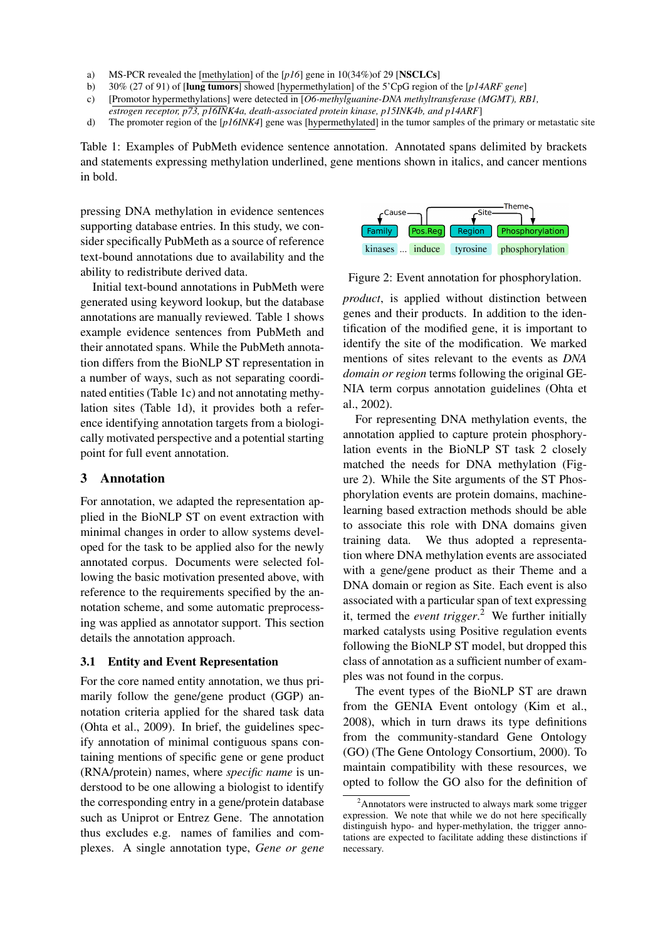- a) MS-PCR revealed the [methylation] of the [*p16*] gene in 10(34%)of 29 [NSCLCs]
- b) 30% (27 of 91) of [lung tumors] showed [hypermethylation] of the 5'CpG region of the [*p14ARF gene*]
- c) [Promotor hypermethylations] were detected in [*O6-methylguanine-DNA methyltransferase (MGMT), RB1,*
- *estrogen receptor, p73, p16INK4a, death-associated protein kinase, p15INK4b, and p14ARF*]
- d) The promoter region of the [*p16INK4*] gene was [hypermethylated] in the tumor samples of the primary or metastatic site

Table 1: Examples of PubMeth evidence sentence annotation. Annotated spans delimited by brackets and statements expressing methylation underlined, gene mentions shown in italics, and cancer mentions in bold.

pressing DNA methylation in evidence sentences supporting database entries. In this study, we consider specifically PubMeth as a source of reference text-bound annotations due to availability and the ability to redistribute derived data.

Initial text-bound annotations in PubMeth were generated using keyword lookup, but the database annotations are manually reviewed. Table 1 shows example evidence sentences from PubMeth and their annotated spans. While the PubMeth annotation differs from the BioNLP ST representation in a number of ways, such as not separating coordinated entities (Table 1c) and not annotating methylation sites (Table 1d), it provides both a reference identifying annotation targets from a biologically motivated perspective and a potential starting point for full event annotation.

## 3 Annotation

For annotation, we adapted the representation applied in the BioNLP ST on event extraction with minimal changes in order to allow systems developed for the task to be applied also for the newly annotated corpus. Documents were selected following the basic motivation presented above, with reference to the requirements specified by the annotation scheme, and some automatic preprocessing was applied as annotator support. This section details the annotation approach.

#### 3.1 Entity and Event Representation

For the core named entity annotation, we thus primarily follow the gene/gene product (GGP) annotation criteria applied for the shared task data (Ohta et al., 2009). In brief, the guidelines specify annotation of minimal contiguous spans containing mentions of specific gene or gene product (RNA/protein) names, where *specific name* is understood to be one allowing a biologist to identify the corresponding entry in a gene/protein database such as Uniprot or Entrez Gene. The annotation thus excludes e.g. names of families and complexes. A single annotation type, *Gene or gene*



Figure 2: Event annotation for phosphorylation.

*product*, is applied without distinction between genes and their products. In addition to the identification of the modified gene, it is important to identify the site of the modification. We marked mentions of sites relevant to the events as *DNA domain or region* terms following the original GE-NIA term corpus annotation guidelines (Ohta et al., 2002).

For representing DNA methylation events, the annotation applied to capture protein phosphorylation events in the BioNLP ST task 2 closely matched the needs for DNA methylation (Figure 2). While the Site arguments of the ST Phosphorylation events are protein domains, machinelearning based extraction methods should be able to associate this role with DNA domains given training data. We thus adopted a representation where DNA methylation events are associated with a gene/gene product as their Theme and a DNA domain or region as Site. Each event is also associated with a particular span of text expressing it, termed the *event trigger*. <sup>2</sup> We further initially marked catalysts using Positive regulation events following the BioNLP ST model, but dropped this class of annotation as a sufficient number of examples was not found in the corpus.

The event types of the BioNLP ST are drawn from the GENIA Event ontology (Kim et al., 2008), which in turn draws its type definitions from the community-standard Gene Ontology (GO) (The Gene Ontology Consortium, 2000). To maintain compatibility with these resources, we opted to follow the GO also for the definition of

 $2$ Annotators were instructed to always mark some trigger expression. We note that while we do not here specifically distinguish hypo- and hyper-methylation, the trigger annotations are expected to facilitate adding these distinctions if necessary.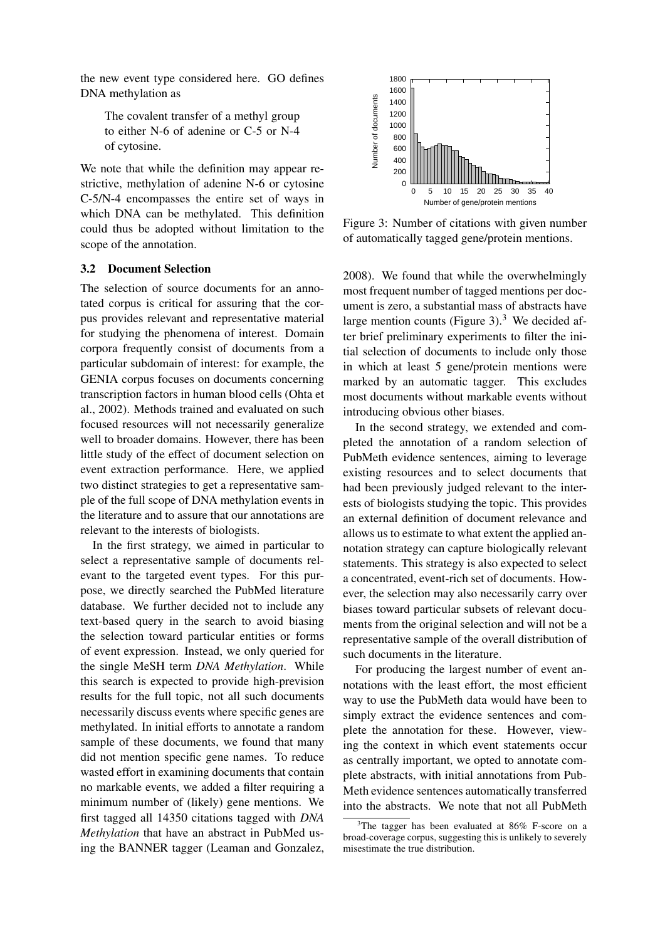the new event type considered here. GO defines DNA methylation as

The covalent transfer of a methyl group to either N-6 of adenine or C-5 or N-4 of cytosine.

We note that while the definition may appear restrictive, methylation of adenine N-6 or cytosine C-5/N-4 encompasses the entire set of ways in which DNA can be methylated. This definition could thus be adopted without limitation to the scope of the annotation.

#### 3.2 Document Selection

The selection of source documents for an annotated corpus is critical for assuring that the corpus provides relevant and representative material for studying the phenomena of interest. Domain corpora frequently consist of documents from a particular subdomain of interest: for example, the GENIA corpus focuses on documents concerning transcription factors in human blood cells (Ohta et al., 2002). Methods trained and evaluated on such focused resources will not necessarily generalize well to broader domains. However, there has been little study of the effect of document selection on event extraction performance. Here, we applied two distinct strategies to get a representative sample of the full scope of DNA methylation events in the literature and to assure that our annotations are relevant to the interests of biologists.

In the first strategy, we aimed in particular to select a representative sample of documents relevant to the targeted event types. For this purpose, we directly searched the PubMed literature database. We further decided not to include any text-based query in the search to avoid biasing the selection toward particular entities or forms of event expression. Instead, we only queried for the single MeSH term *DNA Methylation*. While this search is expected to provide high-prevision results for the full topic, not all such documents necessarily discuss events where specific genes are methylated. In initial efforts to annotate a random sample of these documents, we found that many did not mention specific gene names. To reduce wasted effort in examining documents that contain no markable events, we added a filter requiring a minimum number of (likely) gene mentions. We first tagged all 14350 citations tagged with *DNA Methylation* that have an abstract in PubMed us-The covalid transfer of a method group of the content transfer of a method group of the most than the definition may appear re-<br>Vectors. How that the definition may appear re-<br>Section. In this the definition of addinner N



Figure 3: Number of citations with given number of automatically tagged gene/protein mentions.

2008). We found that while the overwhelmingly most frequent number of tagged mentions per document is zero, a substantial mass of abstracts have large mention counts (Figure 3). $3$  We decided after brief preliminary experiments to filter the initial selection of documents to include only those in which at least 5 gene/protein mentions were marked by an automatic tagger. This excludes most documents without markable events without introducing obvious other biases.

In the second strategy, we extended and completed the annotation of a random selection of PubMeth evidence sentences, aiming to leverage existing resources and to select documents that had been previously judged relevant to the interests of biologists studying the topic. This provides an external definition of document relevance and allows us to estimate to what extent the applied annotation strategy can capture biologically relevant statements. This strategy is also expected to select a concentrated, event-rich set of documents. However, the selection may also necessarily carry over biases toward particular subsets of relevant documents from the original selection and will not be a representative sample of the overall distribution of such documents in the literature.

For producing the largest number of event annotations with the least effort, the most efficient way to use the PubMeth data would have been to simply extract the evidence sentences and complete the annotation for these. However, viewing the context in which event statements occur as centrally important, we opted to annotate complete abstracts, with initial annotations from Pub-Meth evidence sentences automatically transferred into the abstracts. We note that not all PubMeth

 $3$ The tagger has been evaluated at 86% F-score on a broad-coverage corpus, suggesting this is unlikely to severely misestimate the true distribution.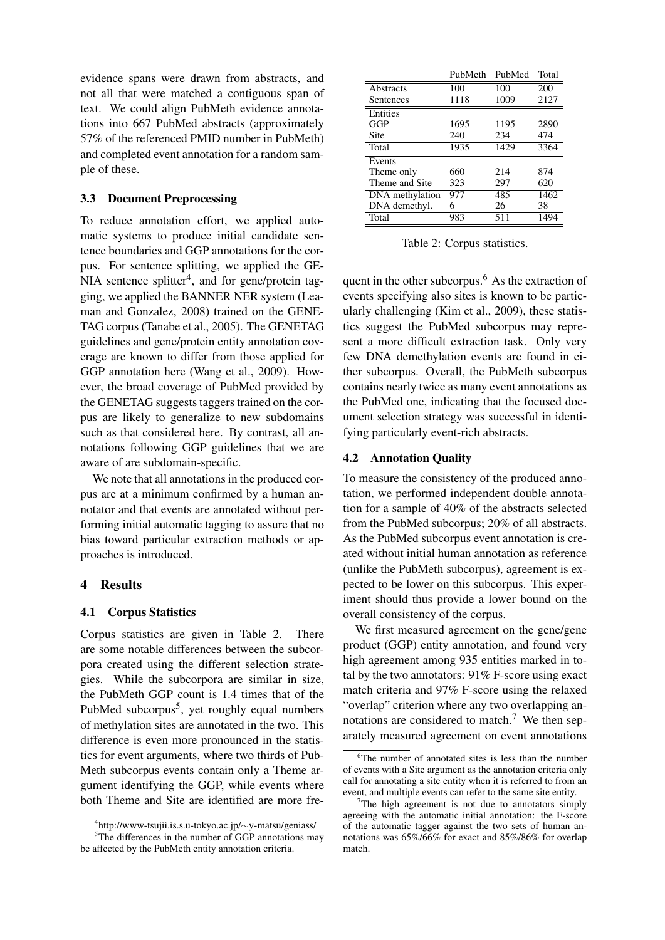evidence spans were drawn from abstracts, and not all that were matched a contiguous span of text. We could align PubMeth evidence annotations into 667 PubMed abstracts (approximately 57% of the referenced PMID number in PubMeth) and completed event annotation for a random sample of these.

#### 3.3 Document Preprocessing

To reduce annotation effort, we applied automatic systems to produce initial candidate sentence boundaries and GGP annotations for the corpus. For sentence splitting, we applied the GE-NIA sentence splitter<sup>4</sup>, and for gene/protein tagging, we applied the BANNER NER system (Leaman and Gonzalez, 2008) trained on the GENE-TAG corpus (Tanabe et al., 2005). The GENETAG guidelines and gene/protein entity annotation coverage are known to differ from those applied for GGP annotation here (Wang et al., 2009). However, the broad coverage of PubMed provided by the GENETAG suggests taggers trained on the corpus are likely to generalize to new subdomains such as that considered here. By contrast, all annotations following GGP guidelines that we are aware of are subdomain-specific.

We note that all annotations in the produced corpus are at a minimum confirmed by a human annotator and that events are annotated without performing initial automatic tagging to assure that no bias toward particular extraction methods or approaches is introduced.

#### 4 Results

#### 4.1 Corpus Statistics

Corpus statistics are given in Table 2. There are some notable differences between the subcorpora created using the different selection strategies. While the subcorpora are similar in size, the PubMeth GGP count is 1.4 times that of the PubMed subcorpus<sup>5</sup>, yet roughly equal numbers of methylation sites are annotated in the two. This difference is even more pronounced in the statistics for event arguments, where two thirds of Pub-Meth subcorpus events contain only a Theme argument identifying the GGP, while events where both Theme and Site are identified are more fre-

|                 | PubMeth | PubMed | Total             |
|-----------------|---------|--------|-------------------|
| Abstracts       | 100     | 100    | 200               |
| Sentences       | 1118    | 1009   | 2127              |
| Entities        |         |        |                   |
| <b>GGP</b>      | 1695    | 1195   | 2890              |
| Site            | 240     | 234    | 474               |
| Total           | 1935    | 1429   | 3364              |
| Events          |         |        |                   |
| Theme only      | 660     | 214    | 874               |
| Theme and Site  | 323     | 297    | 620               |
| DNA methylation | 977     | 485    | $\overline{1462}$ |
| DNA demethyl.   | 6       | 26     | 38                |
| Total           | 983     | 511    | 1494              |

Table 2: Corpus statistics.

quent in the other subcorpus.<sup> $6$ </sup> As the extraction of events specifying also sites is known to be particularly challenging (Kim et al., 2009), these statistics suggest the PubMed subcorpus may represent a more difficult extraction task. Only very few DNA demethylation events are found in either subcorpus. Overall, the PubMeth subcorpus contains nearly twice as many event annotations as the PubMed one, indicating that the focused document selection strategy was successful in identifying particularly event-rich abstracts.

#### 4.2 Annotation Quality

To measure the consistency of the produced annotation, we performed independent double annotation for a sample of 40% of the abstracts selected from the PubMed subcorpus; 20% of all abstracts. As the PubMed subcorpus event annotation is created without initial human annotation as reference (unlike the PubMeth subcorpus), agreement is expected to be lower on this subcorpus. This experiment should thus provide a lower bound on the overall consistency of the corpus.

We first measured agreement on the gene/gene product (GGP) entity annotation, and found very high agreement among 935 entities marked in total by the two annotators: 91% F-score using exact match criteria and 97% F-score using the relaxed "overlap" criterion where any two overlapping annotations are considered to match.<sup>7</sup> We then separately measured agreement on event annotations

<sup>4</sup> http://www-tsujii.is.s.u-tokyo.ac.jp/∼y-matsu/geniass/ <sup>5</sup>The differences in the number of GGP annotations may be affected by the PubMeth entity annotation criteria.

 $6$ The number of annotated sites is less than the number of events with a Site argument as the annotation criteria only call for annotating a site entity when it is referred to from an event, and multiple events can refer to the same site entity.

 $7$ The high agreement is not due to annotators simply agreeing with the automatic initial annotation: the F-score of the automatic tagger against the two sets of human annotations was 65%/66% for exact and 85%/86% for overlap match.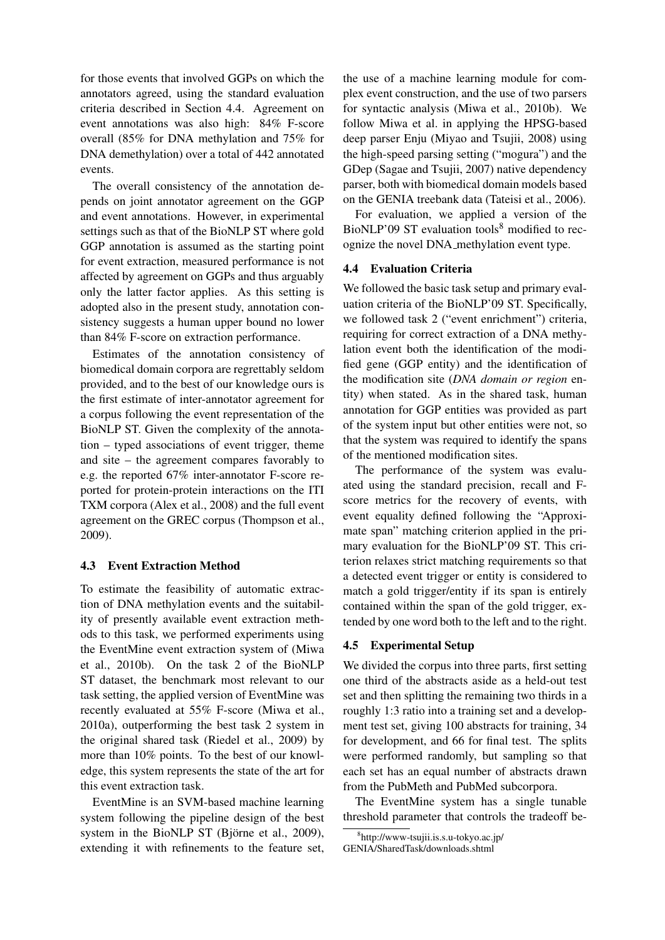for those events that involved GGPs on which the annotators agreed, using the standard evaluation criteria described in Section 4.4. Agreement on event annotations was also high: 84% F-score overall (85% for DNA methylation and 75% for DNA demethylation) over a total of 442 annotated events.

The overall consistency of the annotation depends on joint annotator agreement on the GGP and event annotations. However, in experimental settings such as that of the BioNLP ST where gold GGP annotation is assumed as the starting point for event extraction, measured performance is not affected by agreement on GGPs and thus arguably only the latter factor applies. As this setting is adopted also in the present study, annotation consistency suggests a human upper bound no lower than 84% F-score on extraction performance.

Estimates of the annotation consistency of biomedical domain corpora are regrettably seldom provided, and to the best of our knowledge ours is the first estimate of inter-annotator agreement for a corpus following the event representation of the BioNLP ST. Given the complexity of the annotation – typed associations of event trigger, theme and site – the agreement compares favorably to e.g. the reported 67% inter-annotator F-score reported for protein-protein interactions on the ITI TXM corpora (Alex et al., 2008) and the full event agreement on the GREC corpus (Thompson et al., 2009).

#### 4.3 Event Extraction Method

To estimate the feasibility of automatic extraction of DNA methylation events and the suitability of presently available event extraction methods to this task, we performed experiments using the EventMine event extraction system of (Miwa et al., 2010b). On the task 2 of the BioNLP ST dataset, the benchmark most relevant to our task setting, the applied version of EventMine was recently evaluated at 55% F-score (Miwa et al., 2010a), outperforming the best task 2 system in the original shared task (Riedel et al., 2009) by more than 10% points. To the best of our knowledge, this system represents the state of the art for this event extraction task.

EventMine is an SVM-based machine learning system following the pipeline design of the best system in the BioNLP ST (Björne et al.,  $2009$ ), extending it with refinements to the feature set,

the use of a machine learning module for complex event construction, and the use of two parsers for syntactic analysis (Miwa et al., 2010b). We follow Miwa et al. in applying the HPSG-based deep parser Enju (Miyao and Tsujii, 2008) using the high-speed parsing setting ("mogura") and the GDep (Sagae and Tsujii, 2007) native dependency parser, both with biomedical domain models based on the GENIA treebank data (Tateisi et al., 2006).

For evaluation, we applied a version of the BioNLP'09 ST evaluation tools $8 \text{ modified}$  to recognize the novel DNA methylation event type.

#### 4.4 Evaluation Criteria

We followed the basic task setup and primary evaluation criteria of the BioNLP'09 ST. Specifically, we followed task 2 ("event enrichment") criteria, requiring for correct extraction of a DNA methylation event both the identification of the modified gene (GGP entity) and the identification of the modification site (*DNA domain or region* entity) when stated. As in the shared task, human annotation for GGP entities was provided as part of the system input but other entities were not, so that the system was required to identify the spans of the mentioned modification sites.

The performance of the system was evaluated using the standard precision, recall and Fscore metrics for the recovery of events, with event equality defined following the "Approximate span" matching criterion applied in the primary evaluation for the BioNLP'09 ST. This criterion relaxes strict matching requirements so that a detected event trigger or entity is considered to match a gold trigger/entity if its span is entirely contained within the span of the gold trigger, extended by one word both to the left and to the right.

#### 4.5 Experimental Setup

We divided the corpus into three parts, first setting one third of the abstracts aside as a held-out test set and then splitting the remaining two thirds in a roughly 1:3 ratio into a training set and a development test set, giving 100 abstracts for training, 34 for development, and 66 for final test. The splits were performed randomly, but sampling so that each set has an equal number of abstracts drawn from the PubMeth and PubMed subcorpora.

The EventMine system has a single tunable threshold parameter that controls the tradeoff be-

<sup>8</sup> http://www-tsujii.is.s.u-tokyo.ac.jp/

GENIA/SharedTask/downloads.shtml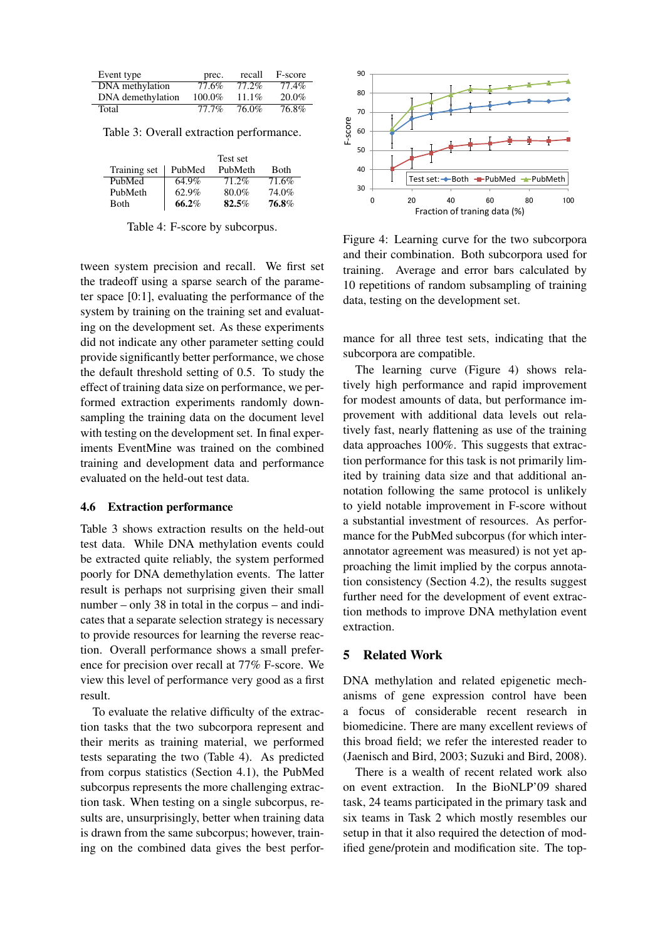| Event type        | prec.    | recall   | F-score  |
|-------------------|----------|----------|----------|
| DNA methylation   | 77.6%    | 77.2%    | 77.4%    |
| DNA demethylation | 100.0%   | $11.1\%$ | $20.0\%$ |
| Total             | $77.7\%$ | 76.0%    | $76.8\%$ |

Table 3: Overall extraction performance.

|              |        | Test set |             |
|--------------|--------|----------|-------------|
| Training set | PubMed | PubMeth  | <b>Both</b> |
| PubMed       | 64.9%  | $71.2\%$ | 71.6%       |
| PubMeth      | 62.9%  | 80.0%    | 74.0%       |
| Both         | 66.2%  | 82.5%    | 76.8%       |

Table 4: F-score by subcorpus.

tween system precision and recall. We first set the tradeoff using a sparse search of the parameter space [0:1], evaluating the performance of the system by training on the training set and evaluating on the development set. As these experiments did not indicate any other parameter setting could provide significantly better performance, we chose the default threshold setting of 0.5. To study the effect of training data size on performance, we performed extraction experiments randomly downsampling the training data on the document level with testing on the development set. In final experiments EventMine was trained on the combined training and development data and performance evaluated on the held-out test data.

### 4.6 Extraction performance

Table 3 shows extraction results on the held-out test data. While DNA methylation events could be extracted quite reliably, the system performed poorly for DNA demethylation events. The latter result is perhaps not surprising given their small number – only 38 in total in the corpus – and indicates that a separate selection strategy is necessary to provide resources for learning the reverse reaction. Overall performance shows a small preference for precision over recall at 77% F-score. We view this level of performance very good as a first result.

To evaluate the relative difficulty of the extraction tasks that the two subcorpora represent and their merits as training material, we performed tests separating the two (Table 4). As predicted from corpus statistics (Section 4.1), the PubMed subcorpus represents the more challenging extraction task. When testing on a single subcorpus, results are, unsurprisingly, better when training data is drawn from the same subcorpus; however, training on the combined data gives the best perfor-



Figure 4: Learning curve for the two subcorpora and their combination. Both subcorpora used for training. Average and error bars calculated by 10 repetitions of random subsampling of training data, testing on the development set.

mance for all three test sets, indicating that the subcorpora are compatible.

The learning curve (Figure 4) shows relatively high performance and rapid improvement for modest amounts of data, but performance improvement with additional data levels out relatively fast, nearly flattening as use of the training data approaches 100%. This suggests that extraction performance for this task is not primarily limited by training data size and that additional annotation following the same protocol is unlikely to yield notable improvement in F-score without a substantial investment of resources. As performance for the PubMed subcorpus (for which interannotator agreement was measured) is not yet approaching the limit implied by the corpus annotation consistency (Section 4.2), the results suggest further need for the development of event extraction methods to improve DNA methylation event extraction.

### 5 Related Work

DNA methylation and related epigenetic mechanisms of gene expression control have been a focus of considerable recent research in biomedicine. There are many excellent reviews of this broad field; we refer the interested reader to (Jaenisch and Bird, 2003; Suzuki and Bird, 2008).

There is a wealth of recent related work also on event extraction. In the BioNLP'09 shared task, 24 teams participated in the primary task and six teams in Task 2 which mostly resembles our setup in that it also required the detection of modified gene/protein and modification site. The top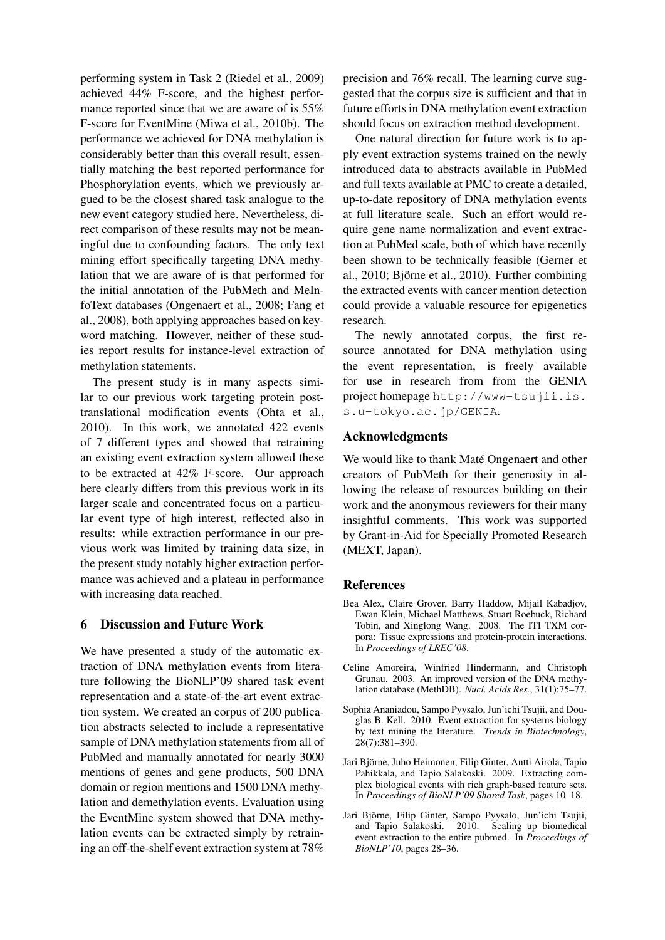performing system in Task 2 (Riedel et al., 2009) achieved 44% F-score, and the highest performance reported since that we are aware of is 55% F-score for EventMine (Miwa et al., 2010b). The performance we achieved for DNA methylation is considerably better than this overall result, essentially matching the best reported performance for Phosphorylation events, which we previously argued to be the closest shared task analogue to the new event category studied here. Nevertheless, direct comparison of these results may not be meaningful due to confounding factors. The only text mining effort specifically targeting DNA methylation that we are aware of is that performed for the initial annotation of the PubMeth and MeInfoText databases (Ongenaert et al., 2008; Fang et al., 2008), both applying approaches based on keyword matching. However, neither of these studies report results for instance-level extraction of methylation statements.

The present study is in many aspects similar to our previous work targeting protein posttranslational modification events (Ohta et al., 2010). In this work, we annotated 422 events of 7 different types and showed that retraining an existing event extraction system allowed these to be extracted at 42% F-score. Our approach here clearly differs from this previous work in its larger scale and concentrated focus on a particular event type of high interest, reflected also in results: while extraction performance in our previous work was limited by training data size, in the present study notably higher extraction performance was achieved and a plateau in performance with increasing data reached.

## 6 Discussion and Future Work

We have presented a study of the automatic extraction of DNA methylation events from literature following the BioNLP'09 shared task event representation and a state-of-the-art event extraction system. We created an corpus of 200 publication abstracts selected to include a representative sample of DNA methylation statements from all of PubMed and manually annotated for nearly 3000 mentions of genes and gene products, 500 DNA domain or region mentions and 1500 DNA methylation and demethylation events. Evaluation using the EventMine system showed that DNA methylation events can be extracted simply by retraining an off-the-shelf event extraction system at 78% precision and 76% recall. The learning curve suggested that the corpus size is sufficient and that in future efforts in DNA methylation event extraction should focus on extraction method development.

One natural direction for future work is to apply event extraction systems trained on the newly introduced data to abstracts available in PubMed and full texts available at PMC to create a detailed, up-to-date repository of DNA methylation events at full literature scale. Such an effort would require gene name normalization and event extraction at PubMed scale, both of which have recently been shown to be technically feasible (Gerner et al., 2010; Björne et al., 2010). Further combining the extracted events with cancer mention detection could provide a valuable resource for epigenetics research.

The newly annotated corpus, the first resource annotated for DNA methylation using the event representation, is freely available for use in research from from the GENIA project homepage http://www-tsujii.is. s.u-tokyo.ac.jp/GENIA.

## Acknowledgments

We would like to thank Maté Ongenaert and other creators of PubMeth for their generosity in allowing the release of resources building on their work and the anonymous reviewers for their many insightful comments. This work was supported by Grant-in-Aid for Specially Promoted Research (MEXT, Japan).

#### References

- Bea Alex, Claire Grover, Barry Haddow, Mijail Kabadjov, Ewan Klein, Michael Matthews, Stuart Roebuck, Richard Tobin, and Xinglong Wang. 2008. The ITI TXM corpora: Tissue expressions and protein-protein interactions. In *Proceedings of LREC'08*.
- Celine Amoreira, Winfried Hindermann, and Christoph Grunau. 2003. An improved version of the DNA methylation database (MethDB). *Nucl. Acids Res.*, 31(1):75–77.
- Sophia Ananiadou, Sampo Pyysalo, Jun'ichi Tsujii, and Douglas B. Kell. 2010. Event extraction for systems biology by text mining the literature. *Trends in Biotechnology*, 28(7):381–390.
- Jari Bjorne, Juho Heimonen, Filip Ginter, Antti Airola, Tapio ¨ Pahikkala, and Tapio Salakoski. 2009. Extracting complex biological events with rich graph-based feature sets. In *Proceedings of BioNLP'09 Shared Task*, pages 10–18.
- Jari Björne, Filip Ginter, Sampo Pyysalo, Jun'ichi Tsujii, and Tapio Salakoski. 2010. Scaling up biomedical event extraction to the entire pubmed. In *Proceedings of BioNLP'10*, pages 28–36.